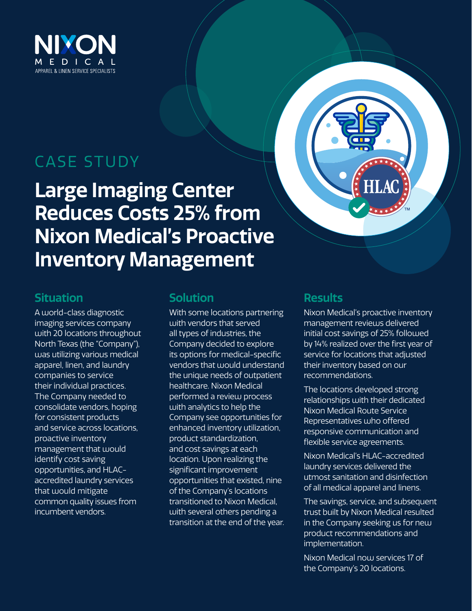

# CASE STUDY

**Large Imaging Center Reduces Costs 25% from Nixon Medical's Proactive Inventory Management** 



### **Situation**

A world-class diagnostic imaging services company with 20 locations throughout North Texas (the "Company"), was utilizing various medical apparel, linen, and laundry companies to service their individual practices. The Company needed to consolidate vendors, hoping for consistent products and service across locations, proactive inventory management that would identify cost saving opportunities, and HLACaccredited laundry services that would mitigate common quality issues from incumbent vendors.

## **Solution**

With some locations partnering with vendors that served all types of industries, the Company decided to explore its options for medical-specific vendors that would understand the unique needs of outpatient healthcare. Nixon Medical performed a review process with analytics to help the Company see opportunities for enhanced inventory utilization, product standardization, and cost savings at each location. Upon realizing the significant improvement opportunities that existed, nine of the Company's locations transitioned to Nixon Medical, with several others pending a transition at the end of the year.

## **Results**

Nixon Medical's proactive inventory management reviews delivered initial cost savings of 25% followed by 14% realized over the first year of service for locations that adjusted their inventory based on our recommendations.

The locations developed strong relationships with their dedicated Nixon Medical Route Service Representatives who offered responsive communication and flexible service agreements.

Nixon Medical's HLAC-accredited laundry services delivered the utmost sanitation and disinfection of all medical apparel and linens.

The savings, service, and subsequent trust built by Nixon Medical resulted in the Company seeking us for new product recommendations and implementation.

Nixon Medical now services 17 of the Company's 20 locations.